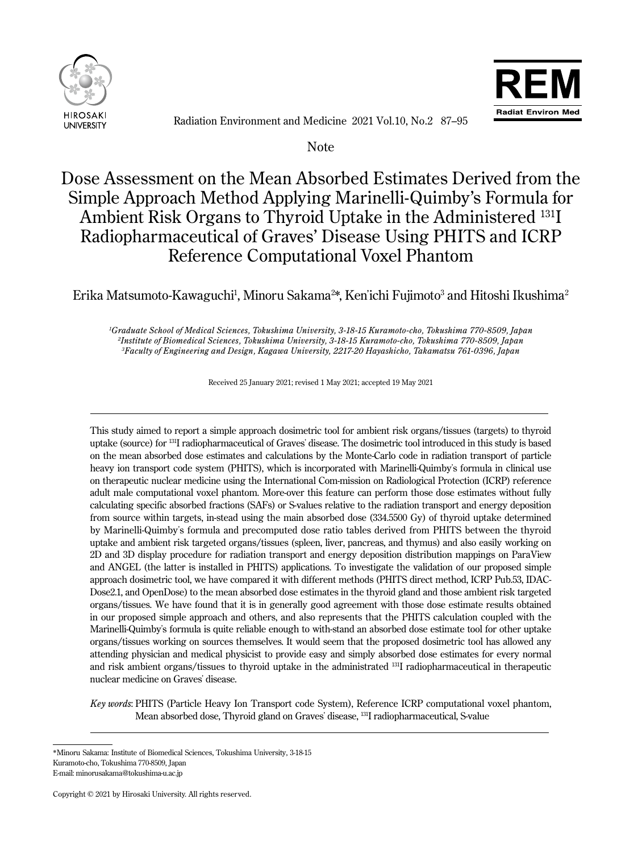

Ī

 $\overline{a}$ 



Radiation Environment and Medicine 2021 Vol.10, No.2 87–95

Note

# Dose Assessment on the Mean Absorbed Estimates Derived from the Simple Approach Method Applying Marinelli-Quimby's Formula for Ambient Risk Organs to Thyroid Uptake in the Administered 131I Radiopharmaceutical of Graves' Disease Using PHITS and ICRP Reference Computational Voxel Phantom

# Erika Matsumoto-Kawaguchi<sup>1</sup>, Minoru Sakama<sup>2\*</sup>, Ken'ichi Fujimoto<sup>3</sup> and Hitoshi Ikushima<sup>2</sup>

*1 Graduate School of Medical Sciences, Tokushima University, 3-18-15 Kuramoto-cho, Tokushima 770-8509, Japan 2 Institute of Biomedical Sciences, Tokushima University, 3-18-15 Kuramoto-cho, Tokushima 770-8509, Japan 3 Faculty of Engineering and Design, Kagawa University, 2217-20 Hayashicho, Takamatsu 761-0396, Japan*

Received 25 January 2021; revised 1 May 2021; accepted 19 May 2021

This study aimed to report a simple approach dosimetric tool for ambient risk organs/tissues (targets) to thyroid uptake (source) for 131I radiopharmaceutical of Graves' disease. The dosimetric tool introduced in this study is based on the mean absorbed dose estimates and calculations by the Monte-Carlo code in radiation transport of particle heavy ion transport code system (PHITS), which is incorporated with Marinelli-Quimby's formula in clinical use on therapeutic nuclear medicine using the International Com-mission on Radiological Protection (ICRP) reference adult male computational voxel phantom. More-over this feature can perform those dose estimates without fully calculating specific absorbed fractions (SAFs) or S-values relative to the radiation transport and energy deposition from source within targets, in-stead using the main absorbed dose (334.5500 Gy) of thyroid uptake determined by Marinelli-Quimby's formula and precomputed dose ratio tables derived from PHITS between the thyroid uptake and ambient risk targeted organs/tissues (spleen, liver, pancreas, and thymus) and also easily working on 2D and 3D display procedure for radiation transport and energy deposition distribution mappings on ParaView and ANGEL (the latter is installed in PHITS) applications. To investigate the validation of our proposed simple approach dosimetric tool, we have compared it with different methods (PHITS direct method, ICRP Pub.53, IDAC-Dose2.1, and OpenDose) to the mean absorbed dose estimates in the thyroid gland and those ambient risk targeted organs/tissues. We have found that it is in generally good agreement with those dose estimate results obtained in our proposed simple approach and others, and also represents that the PHITS calculation coupled with the Marinelli-Quimby's formula is quite reliable enough to with-stand an absorbed dose estimate tool for other uptake organs/tissues working on sources themselves. It would seem that the proposed dosimetric tool has allowed any attending physician and medical physicist to provide easy and simply absorbed dose estimates for every normal and risk ambient organs/tissues to thyroid uptake in the administrated 131I radiopharmaceutical in therapeutic nuclear medicine on Graves' disease.

*Key words*: PHITS (Particle Heavy Ion Transport code System), Reference ICRP computational voxel phantom, Mean absorbed dose, Thyroid gland on Graves' disease, 131I radiopharmaceutical, S-value

<sup>\*</sup>Minoru Sakama: Institute of Biomedical Sciences, Tokushima University, 3-18-15 Kuramoto-cho, Tokushima 770-8509, Japan E-mail: minorusakama@tokushima-u.ac.jp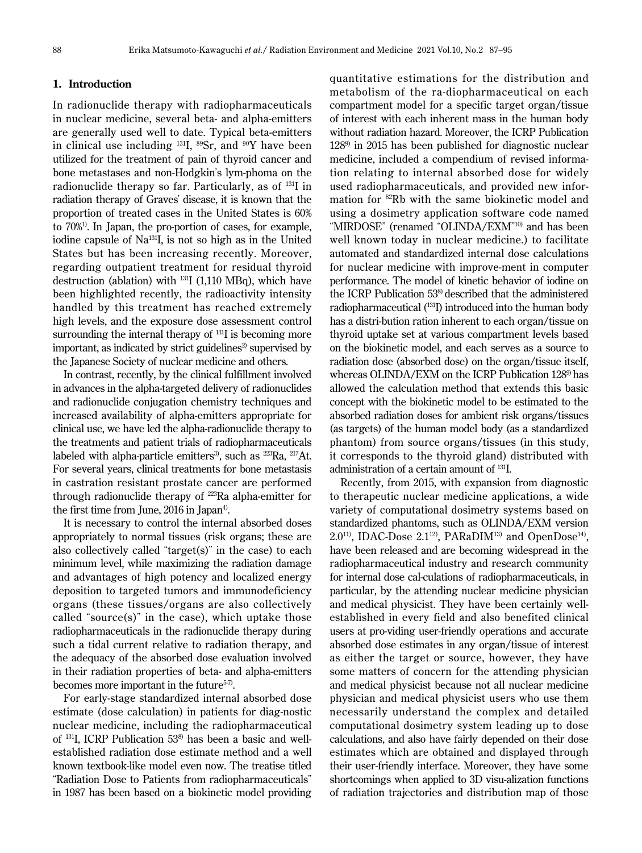## **1. Introduction**

In radionuclide therapy with radiopharmaceuticals in nuclear medicine, several beta- and alpha-emitters are generally used well to date. Typical beta-emitters in clinical use including  $^{131}I$ ,  $^{89}Sr$ , and  $^{90}Y$  have been utilized for the treatment of pain of thyroid cancer and bone metastases and non-Hodgkin's lym-phoma on the radionuclide therapy so far. Particularly, as of 131I in radiation therapy of Graves' disease, it is known that the proportion of treated cases in the United States is 60% to 70%1). In Japan, the pro-portion of cases, for example, iodine capsule of Na131I, is not so high as in the United States but has been increasing recently. Moreover, regarding outpatient treatment for residual thyroid destruction (ablation) with  $^{131}I$  (1,110 MBq), which have been highlighted recently, the radioactivity intensity handled by this treatment has reached extremely high levels, and the exposure dose assessment control surrounding the internal therapy of <sup>131</sup>I is becoming more important, as indicated by strict guidelines $2$  supervised by the Japanese Society of nuclear medicine and others.

In contrast, recently, by the clinical fulfillment involved in advances in the alpha-targeted delivery of radionuclides and radionuclide conjugation chemistry techniques and increased availability of alpha-emitters appropriate for clinical use, we have led the alpha-radionuclide therapy to the treatments and patient trials of radiopharmaceuticals labeled with alpha-particle emitters<sup>3</sup>, such as  $^{223}Ra$ ,  $^{217}At$ . For several years, clinical treatments for bone metastasis in castration resistant prostate cancer are performed through radionuclide therapy of 223Ra alpha-emitter for the first time from June, 2016 in Japan<sup>4)</sup>.

It is necessary to control the internal absorbed doses appropriately to normal tissues (risk organs; these are also collectively called "target(s)" in the case) to each minimum level, while maximizing the radiation damage and advantages of high potency and localized energy deposition to targeted tumors and immunodeficiency organs (these tissues/organs are also collectively called "source(s)" in the case), which uptake those radiopharmaceuticals in the radionuclide therapy during such a tidal current relative to radiation therapy, and the adequacy of the absorbed dose evaluation involved in their radiation properties of beta- and alpha-emitters becomes more important in the future<sup>5-7)</sup>.

For early-stage standardized internal absorbed dose estimate (dose calculation) in patients for diag-nostic nuclear medicine, including the radiopharmaceutical of 131I, ICRP Publication 538) has been a basic and wellestablished radiation dose estimate method and a well known textbook-like model even now. The treatise titled "Radiation Dose to Patients from radiopharmaceuticals" in 1987 has been based on a biokinetic model providing

quantitative estimations for the distribution and metabolism of the ra-diopharmaceutical on each compartment model for a specific target organ/tissue of interest with each inherent mass in the human body without radiation hazard. Moreover, the ICRP Publication 1289) in 2015 has been published for diagnostic nuclear medicine, included a compendium of revised information relating to internal absorbed dose for widely used radiopharmaceuticals, and provided new information for 82Rb with the same biokinetic model and using a dosimetry application software code named "MIRDOSE" (renamed "OLINDA/EXM" 10) and has been well known today in nuclear medicine.) to facilitate automated and standardized internal dose calculations for nuclear medicine with improve-ment in computer performance. The model of kinetic behavior of iodine on the ICRP Publication 53<sup>8)</sup> described that the administered radiopharmaceutical (131I) introduced into the human body has a distri-bution ration inherent to each organ/tissue on thyroid uptake set at various compartment levels based on the biokinetic model, and each serves as a source to radiation dose (absorbed dose) on the organ/tissue itself, whereas OLINDA/EXM on the ICRP Publication 128<sup>9</sup> has allowed the calculation method that extends this basic concept with the biokinetic model to be estimated to the absorbed radiation doses for ambient risk organs/tissues (as targets) of the human model body (as a standardized phantom) from source organs/tissues (in this study, it corresponds to the thyroid gland) distributed with administration of a certain amount of 131I.

Recently, from 2015, with expansion from diagnostic to therapeutic nuclear medicine applications, a wide variety of computational dosimetry systems based on standardized phantoms, such as OLINDA/EXM version 2.0<sup>11)</sup>, IDAC-Dose 2.1<sup>12)</sup>, PARaDIM<sup>13)</sup> and OpenDose<sup>14)</sup>, have been released and are becoming widespread in the radiopharmaceutical industry and research community for internal dose cal-culations of radiopharmaceuticals, in particular, by the attending nuclear medicine physician and medical physicist. They have been certainly wellestablished in every field and also benefited clinical users at pro-viding user-friendly operations and accurate absorbed dose estimates in any organ/tissue of interest as either the target or source, however, they have some matters of concern for the attending physician and medical physicist because not all nuclear medicine physician and medical physicist users who use them necessarily understand the complex and detailed computational dosimetry system leading up to dose calculations, and also have fairly depended on their dose estimates which are obtained and displayed through their user-friendly interface. Moreover, they have some shortcomings when applied to 3D visu-alization functions of radiation trajectories and distribution map of those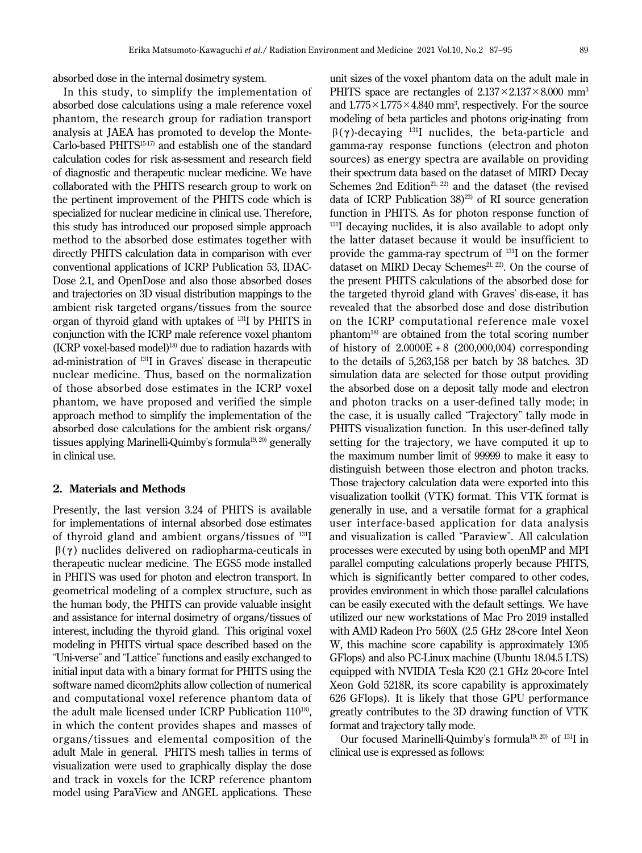absorbed dose in the internal dosimetry system.

In this study, to simplify the implementation of absorbed dose calculations using a male reference voxel phantom, the research group for radiation transport analysis at JAEA has promoted to develop the Monte-Carlo-based PHITS15-17) and establish one of the standard calculation codes for risk as-sessment and research field of diagnostic and therapeutic nuclear medicine. We have collaborated with the PHITS research group to work on the pertinent improvement of the PHITS code which is specialized for nuclear medicine in clinical use. Therefore, this study has introduced our proposed simple approach method to the absorbed dose estimates together with directly PHITS calculation data in comparison with ever conventional applications of ICRP Publication 53, IDAC-Dose 2.1, and OpenDose and also those absorbed doses and trajectories on 3D visual distribution mappings to the ambient risk targeted organs/tissues from the source organ of thyroid gland with uptakes of 131I by PHITS in conjunction with the ICRP male reference voxel phantom  $(ICRP$  voxel-based model)<sup>18)</sup> due to radiation hazards with ad-ministration of 131I in Graves' disease in therapeutic nuclear medicine. Thus, based on the normalization of those absorbed dose estimates in the ICRP voxel phantom, we have proposed and verified the simple approach method to simplify the implementation of the absorbed dose calculations for the ambient risk organs/ tissues applying Marinelli-Quimby's formula<sup>19, 20)</sup> generally in clinical use.

#### **2. Materials and Methods**

Presently, the last version 3.24 of PHITS is available for implementations of internal absorbed dose estimates of thyroid gland and ambient organs/tissues of 131I β( **γ** ) nuclides delivered on radiopharma-ceuticals in therapeutic nuclear medicine. The EGS5 mode installed in PHITS was used for photon and electron transport. In geometrical modeling of a complex structure, such as the human body, the PHITS can provide valuable insight and assistance for internal dosimetry of organs/tissues of interest, including the thyroid gland. This original voxel modeling in PHITS virtual space described based on the "Uni-verse" and "Lattice" functions and easily exchanged to initial input data with a binary format for PHITS using the software named dicom2phits allow collection of numerical and computational voxel reference phantom data of the adult male licensed under ICRP Publication 110<sup>18)</sup>, in which the content provides shapes and masses of organs/tissues and elemental composition of the adult Male in general. PHITS mesh tallies in terms of visualization were used to graphically display the dose and track in voxels for the ICRP reference phantom model using ParaView and ANGEL applications. These

unit sizes of the voxel phantom data on the adult male in PHITS space are rectangles of  $2.137 \times 2.137 \times 8.000$  mm<sup>3</sup> and  $1.775 \times 1.775 \times 4.840$  mm<sup>3</sup>, respectively. For the source modeling of beta particles and photons orig-inating from β( **γ** )-decaying 131I nuclides, the beta-particle and gamma-ray response functions (electron and photon sources) as energy spectra are available on providing their spectrum data based on the dataset of MIRD Decay Schemes 2nd Edition<sup>21, 22)</sup> and the dataset (the revised data of ICRP Publication  $38^{23}$  of RI source generation function in PHITS. As for photon response function of <sup>131</sup>I decaying nuclides, it is also available to adopt only the latter dataset because it would be insufficient to provide the gamma-ray spectrum of 131I on the former dataset on MIRD Decay Schemes<sup>21, 22</sup>. On the course of the present PHITS calculations of the absorbed dose for the targeted thyroid gland with Graves' dis-ease, it has revealed that the absorbed dose and dose distribution on the ICRP computational reference male voxel phantom18) are obtained from the total scoring number of history of  $2.0000E + 8$  (200,000,004) corresponding to the details of 5,263,158 per batch by 38 batches. 3D simulation data are selected for those output providing the absorbed dose on a deposit tally mode and electron and photon tracks on a user-defined tally mode; in the case, it is usually called "Trajectory" tally mode in PHITS visualization function. In this user-defined tally setting for the trajectory, we have computed it up to the maximum number limit of 99999 to make it easy to distinguish between those electron and photon tracks. Those trajectory calculation data were exported into this visualization toolkit (VTK) format. This VTK format is generally in use, and a versatile format for a graphical user interface-based application for data analysis and visualization is called "Paraview". All calculation processes were executed by using both openMP and MPI parallel computing calculations properly because PHITS, which is significantly better compared to other codes, provides environment in which those parallel calculations can be easily executed with the default settings. We have utilized our new workstations of Mac Pro 2019 installed with AMD Radeon Pro 560X (2.5 GHz 28-core Intel Xeon W, this machine score capability is approximately 1305 GFlops) and also PC-Linux machine (Ubuntu 18.04.5 LTS) equipped with NVIDIA Tesla K20 (2.1 GHz 20-core Intel Xeon Gold 5218R, its score capability is approximately 626 GFlops). It is likely that those GPU performance greatly contributes to the 3D drawing function of VTK format and trajectory tally mode.

Our focused Marinelli-Quimby's formula19, 20) of 131I in clinical use is expressed as follows: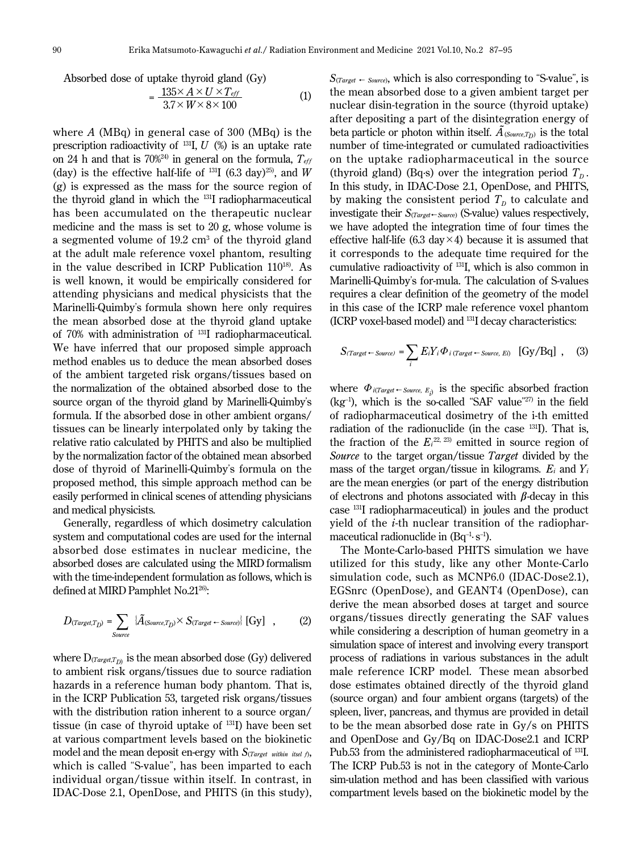Absorbed dose of uptake thyroid gland (Gy)  
= 
$$
\frac{135 \times A \times U \times T_{eff}}{3.7 \times W \times 8 \times 100}
$$
 (1)

where *A* (MBq) in general case of 300 (MBq) is the prescription radioactivity of  $^{131}I, U$  (%) is an uptake rate on 24 h and that is  $70\%^{24}$  in general on the formula,  $T_{\text{eff}}$ (day) is the effective half-life of  $^{131}I$  (6.3 day)<sup>25)</sup>, and *W* (g) is expressed as the mass for the source region of the thyroid gland in which the <sup>131</sup>I radiopharmaceutical has been accumulated on the therapeutic nuclear medicine and the mass is set to 20 g, whose volume is a segmented volume of 19.2 cm<sup>3</sup> of the thyroid gland at the adult male reference voxel phantom, resulting in the value described in ICRP Publication 110<sup>18)</sup>. As is well known, it would be empirically considered for attending physicians and medical physicists that the Marinelli-Quimby's formula shown here only requires the mean absorbed dose at the thyroid gland uptake of 70% with administration of 131I radiopharmaceutical. We have inferred that our proposed simple approach method enables us to deduce the mean absorbed doses of the ambient targeted risk organs/tissues based on the normalization of the obtained absorbed dose to the source organ of the thyroid gland by Marinelli-Quimby's formula. If the absorbed dose in other ambient organs/ tissues can be linearly interpolated only by taking the relative ratio calculated by PHITS and also be multiplied by the normalization factor of the obtained mean absorbed dose of thyroid of Marinelli-Quimby's formula on the proposed method, this simple approach method can be easily performed in clinical scenes of attending physicians and medical physicists.

Generally, regardless of which dosimetry calculation system and computational codes are used for the internal absorbed dose estimates in nuclear medicine, the absorbed doses are calculated using the MIRD formalism with the time-independent formulation as follows, which is defined at MIRD Pamphlet No.21<sup>26)</sup>:

$$
D_{(Target,T_D)} = \sum_{Source} \{ \tilde{A}_{(Source,T_D)} \times S_{(Target \leftarrow Source)} \} [Gy] , \qquad (2)
$$

where  $D_{(Target, T_D)}$  is the mean absorbed dose (Gy) delivered to ambient risk organs/tissues due to source radiation hazards in a reference human body phantom. That is, in the ICRP Publication 53, targeted risk organs/tissues with the distribution ration inherent to a source organ/ tissue (in case of thyroid uptake of 131I) have been set at various compartment levels based on the biokinetic model and the mean deposit en-ergy with *S*(*Target within itsel <sup>f</sup>*), which is called "S-value", has been imparted to each individual organ/tissue within itself. In contrast, in IDAC-Dose 2.1, OpenDose, and PHITS (in this study),

 $S$ (*Target* – *Source*), which is also corresponding to "S-value", is the mean absorbed dose to a given ambient target per nuclear disin-tegration in the source (thyroid uptake) after depositing a part of the disintegration energy of beta particle or photon within itself.  $\tilde{A}_{\text{(Source,}T_D)}$  is the total number of time-integrated or cumulated radioactivities on the uptake radiopharmaceutical in the source (thyroid gland) (Bq·s) over the integration period  $T<sub>p</sub>$ . In this study, in IDAC-Dose 2.1, OpenDose, and PHITS, by making the consistent period  $T<sub>p</sub>$  to calculate and investigate their *S*(*Target*←*Sourc*e) (S-value) values respectively, we have adopted the integration time of four times the effective half-life (6.3 day  $\times$  4) because it is assumed that it corresponds to the adequate time required for the cumulative radioactivity of 131I, which is also common in Marinelli-Quimby's for-mula. The calculation of S-values requires a clear definition of the geometry of the model in this case of the ICRP male reference voxel phantom (ICRP voxel-based model) and 131I decay characteristics:

$$
S_{\text{(Target} \leftarrow Source)} = \sum_{i} E_{i} Y_{i} \Phi_{i \text{ (Target} \leftarrow Source, Ei)} \text{ [Gy/Bq] }, \quad (3)
$$

where  $\Phi_{i^{T\!arget}} \leftarrow_{Source, E_j}$  is the specific absorbed fraction  $(kg<sup>-1</sup>)$ , which is the so-called "SAF value"<sup>27)</sup> in the field of radiopharmaceutical dosimetry of the i-th emitted radiation of the radionuclide (in the case <sup>131</sup>I). That is, the fraction of the  $E_i^{22, 23}$  emitted in source region of *Source* to the target organ/tissue *Target* divided by the mass of the target organ/tissue in kilograms. *Ei* and *Yi* are the mean energies (or part of the energy distribution of electrons and photons associated with **β**-decay in this case 131I radiopharmaceutical) in joules and the product yield of the *i*-th nuclear transition of the radiopharmaceutical radionuclide in  $(Bq^{-1} \text{·} s^{-1})$ .

The Monte-Carlo-based PHITS simulation we have utilized for this study, like any other Monte-Carlo simulation code, such as MCNP6.0 (IDAC-Dose2.1), EGSnrc (OpenDose), and GEANT4 (OpenDose), can derive the mean absorbed doses at target and source organs/tissues directly generating the SAF values while considering a description of human geometry in a simulation space of interest and involving every transport process of radiations in various substances in the adult male reference ICRP model. These mean absorbed dose estimates obtained directly of the thyroid gland (source organ) and four ambient organs (targets) of the spleen, liver, pancreas, and thymus are provided in detail to be the mean absorbed dose rate in Gy/s on PHITS and OpenDose and Gy/Bq on IDAC-Dose2.1 and ICRP Pub.53 from the administered radiopharmaceutical of <sup>131</sup>I. The ICRP Pub.53 is not in the category of Monte-Carlo sim-ulation method and has been classified with various compartment levels based on the biokinetic model by the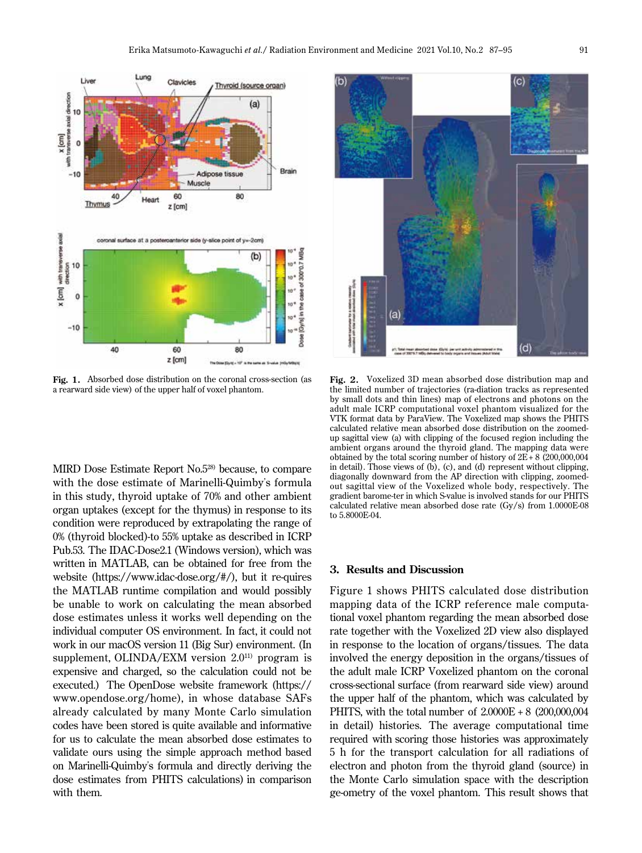

**Fig. 1.** Absorbed dose distribution on the coronal cross-section (as a rearward side view) of the upper half of voxel phantom.

MIRD Dose Estimate Report No.5<sup>28)</sup> because, to compare with the dose estimate of Marinelli-Quimby's formula in this study, thyroid uptake of 70% and other ambient organ uptakes (except for the thymus) in response to its condition were reproduced by extrapolating the range of 0% (thyroid blocked)-to 55% uptake as described in ICRP Pub.53. The IDAC-Dose2.1 (Windows version), which was written in MATLAB, can be obtained for free from the website (https://www.idac-dose.org/#/), but it re-quires the MATLAB runtime compilation and would possibly be unable to work on calculating the mean absorbed dose estimates unless it works well depending on the individual computer OS environment. In fact, it could not work in our macOS version 11 (Big Sur) environment. (In supplement, OLINDA/EXM version  $2.0^{11}$  program is expensive and charged, so the calculation could not be executed.) The OpenDose website framework (https:// www.opendose.org/home), in whose database SAFs already calculated by many Monte Carlo simulation codes have been stored is quite available and informative for us to calculate the mean absorbed dose estimates to validate ours using the simple approach method based on Marinelli-Quimby's formula and directly deriving the dose estimates from PHITS calculations) in comparison with them.



**Fig. 2.** Voxelized 3D mean absorbed dose distribution map and the limited number of trajectories (ra-diation tracks as represented by small dots and thin lines) map of electrons and photons on the adult male ICRP computational voxel phantom visualized for the VTK format data by ParaView. The Voxelized map shows the PHITS calculated relative mean absorbed dose distribution on the zoomedup sagittal view (a) with clipping of the focused region including the ambient organs around the thyroid gland. The mapping data were obtained by the total scoring number of history of  $2E + 8$  (200,000,004) in detail). Those views of (b), (c), and (d) represent without clipping, diagonally downward from the AP direction with clipping, zoomedout sagittal view of the Voxelized whole body, respectively. The gradient barome-ter in which S-value is involved stands for our PHITS calculated relative mean absorbed dose rate (Gy/s) from 1.0000E-08 to 5.8000E-04.

# **3. Results and Discussion**

Figure 1 shows PHITS calculated dose distribution mapping data of the ICRP reference male computational voxel phantom regarding the mean absorbed dose rate together with the Voxelized 2D view also displayed in response to the location of organs/tissues. The data involved the energy deposition in the organs/tissues of the adult male ICRP Voxelized phantom on the coronal cross-sectional surface (from rearward side view) around the upper half of the phantom, which was calculated by PHITS, with the total number of 2.0000E + 8 (200,000,004 in detail) histories. The average computational time required with scoring those histories was approximately 5 h for the transport calculation for all radiations of electron and photon from the thyroid gland (source) in the Monte Carlo simulation space with the description ge-ometry of the voxel phantom. This result shows that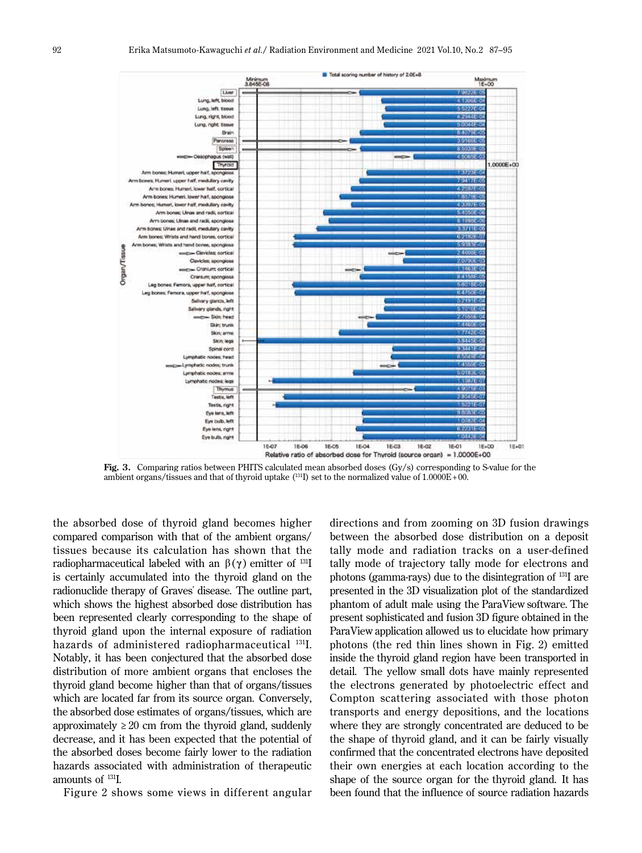

**Fig. 3.** Comparing ratios between PHITS calculated mean absorbed doses (Gy/s) corresponding to S-value for the ambient organs/tissues and that of thyroid uptake (131I) set to the normalized value of 1.0000E+ 00.

the absorbed dose of thyroid gland becomes higher compared comparison with that of the ambient organs/ tissues because its calculation has shown that the radiopharmaceutical labeled with an  $β(γ)$  emitter of <sup>131</sup>I is certainly accumulated into the thyroid gland on the radionuclide therapy of Graves' disease. The outline part, which shows the highest absorbed dose distribution has been represented clearly corresponding to the shape of thyroid gland upon the internal exposure of radiation hazards of administered radiopharmaceutical <sup>131</sup>I. Notably, it has been conjectured that the absorbed dose distribution of more ambient organs that encloses the thyroid gland become higher than that of organs/tissues which are located far from its source organ. Conversely, the absorbed dose estimates of organs/tissues, which are approximately  $\geq 20$  cm from the thyroid gland, suddenly decrease, and it has been expected that the potential of the absorbed doses become fairly lower to the radiation hazards associated with administration of therapeutic amounts of 131I.

Figure 2 shows some views in different angular

directions and from zooming on 3D fusion drawings between the absorbed dose distribution on a deposit tally mode and radiation tracks on a user-defined tally mode of trajectory tally mode for electrons and photons (gamma-rays) due to the disintegration of 131I are presented in the 3D visualization plot of the standardized phantom of adult male using the ParaView software. The present sophisticated and fusion 3D figure obtained in the ParaView application allowed us to elucidate how primary photons (the red thin lines shown in Fig. 2) emitted inside the thyroid gland region have been transported in detail. The yellow small dots have mainly represented the electrons generated by photoelectric effect and Compton scattering associated with those photon transports and energy depositions, and the locations where they are strongly concentrated are deduced to be the shape of thyroid gland, and it can be fairly visually confirmed that the concentrated electrons have deposited their own energies at each location according to the shape of the source organ for the thyroid gland. It has been found that the influence of source radiation hazards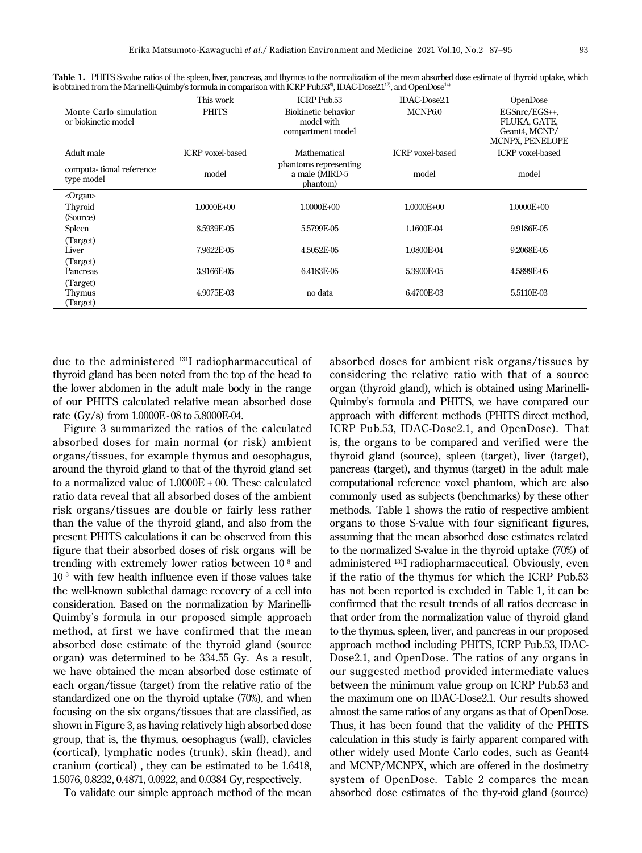|                                               | This work               | ICRP Pub.53                                            | IDAC-Dose2.1            | OpenDose                                                          |
|-----------------------------------------------|-------------------------|--------------------------------------------------------|-------------------------|-------------------------------------------------------------------|
| Monte Carlo simulation<br>or biokinetic model | <b>PHITS</b>            | Biokinetic behavior<br>model with<br>compartment model | MCNP <sub>6.0</sub>     | EGSnrc/EGS++,<br>FLUKA, GATE.<br>Geant4. MCNP/<br>MCNPX, PENELOPE |
| Adult male                                    | <b>ICRP</b> voxel-based | Mathematical                                           | <b>ICRP</b> voxel-based | <b>ICRP</b> voxel-based                                           |
| computa-tional reference<br>type model        | model                   | phantoms representing<br>a male (MIRD-5<br>phantom)    | model<br>model          |                                                                   |
| $\langle$ Organ $\rangle$                     |                         |                                                        |                         |                                                                   |
| Thyroid                                       | 1.0000E+00              | 1.0000E+00                                             | 1.0000E+00              | 1.0000E+00                                                        |
| (Source)                                      |                         |                                                        |                         |                                                                   |
| Spleen                                        | 8.5939E-05              | 5.5799E-05                                             | 1.1600E-04              | 9.9186E-05                                                        |
| (Target)<br>Liver                             | 7.9622F-05              | 4.5052E-05                                             | 1.0800E-04              | 9.2068E-05                                                        |
| (Target)<br>Pancreas                          | 3.9166E-05              | 6.4183E-05                                             | 5.3900E-05              | 4.5899E-05                                                        |
| (Target)<br>Thymus<br>(Target)                | 4.9075E-03              | no data                                                | 6.4700E-03              | 5.5110E-03                                                        |

Table 1. PHITS S-value ratios of the spleen, liver, pancreas, and thymus to the normalization of the mean absorbed dose estimate of thyroid uptake, which is obtained from the Marinelli-Quimby's formula in comparison with ICRP Pub.53<sup>8</sup>, IDAC-Dose2.1<sup>12</sup>, and OpenDose<sup>14)</sup>

due to the administered 131I radiopharmaceutical of thyroid gland has been noted from the top of the head to the lower abdomen in the adult male body in the range of our PHITS calculated relative mean absorbed dose rate (Gy/s) from 1.0000E-08 to 5.8000E-04.

Figure 3 summarized the ratios of the calculated absorbed doses for main normal (or risk) ambient organs/tissues, for example thymus and oesophagus, around the thyroid gland to that of the thyroid gland set to a normalized value of 1.0000E + 00. These calculated ratio data reveal that all absorbed doses of the ambient risk organs/tissues are double or fairly less rather than the value of the thyroid gland, and also from the present PHITS calculations it can be observed from this figure that their absorbed doses of risk organs will be trending with extremely lower ratios between  $10^{-8}$  and  $10<sup>-3</sup>$  with few health influence even if those values take the well-known sublethal damage recovery of a cell into consideration. Based on the normalization by Marinelli-Quimby's formula in our proposed simple approach method, at first we have confirmed that the mean absorbed dose estimate of the thyroid gland (source organ) was determined to be 334.55 Gy. As a result, we have obtained the mean absorbed dose estimate of each organ/tissue (target) from the relative ratio of the standardized one on the thyroid uptake (70%), and when focusing on the six organs/tissues that are classified, as shown in Figure 3, as having relatively high absorbed dose group, that is, the thymus, oesophagus (wall), clavicles (cortical), lymphatic nodes (trunk), skin (head), and cranium (cortical) , they can be estimated to be 1.6418, 1.5076, 0.8232, 0.4871, 0.0922, and 0.0384 Gy, respectively.

To validate our simple approach method of the mean

absorbed doses for ambient risk organs/tissues by considering the relative ratio with that of a source organ (thyroid gland), which is obtained using Marinelli-Quimby's formula and PHITS, we have compared our approach with different methods (PHITS direct method, ICRP Pub.53, IDAC-Dose2.1, and OpenDose). That is, the organs to be compared and verified were the thyroid gland (source), spleen (target), liver (target), pancreas (target), and thymus (target) in the adult male computational reference voxel phantom, which are also commonly used as subjects (benchmarks) by these other methods. Table 1 shows the ratio of respective ambient organs to those S-value with four significant figures, assuming that the mean absorbed dose estimates related to the normalized S-value in the thyroid uptake (70%) of administered 131I radiopharmaceutical. Obviously, even if the ratio of the thymus for which the ICRP Pub.53 has not been reported is excluded in Table 1, it can be confirmed that the result trends of all ratios decrease in that order from the normalization value of thyroid gland to the thymus, spleen, liver, and pancreas in our proposed approach method including PHITS, ICRP Pub.53, IDAC-Dose2.1, and OpenDose. The ratios of any organs in our suggested method provided intermediate values between the minimum value group on ICRP Pub.53 and the maximum one on IDAC-Dose2.1. Our results showed almost the same ratios of any organs as that of OpenDose. Thus, it has been found that the validity of the PHITS calculation in this study is fairly apparent compared with other widely used Monte Carlo codes, such as Geant4 and MCNP/MCNPX, which are offered in the dosimetry system of OpenDose. Table 2 compares the mean absorbed dose estimates of the thy-roid gland (source)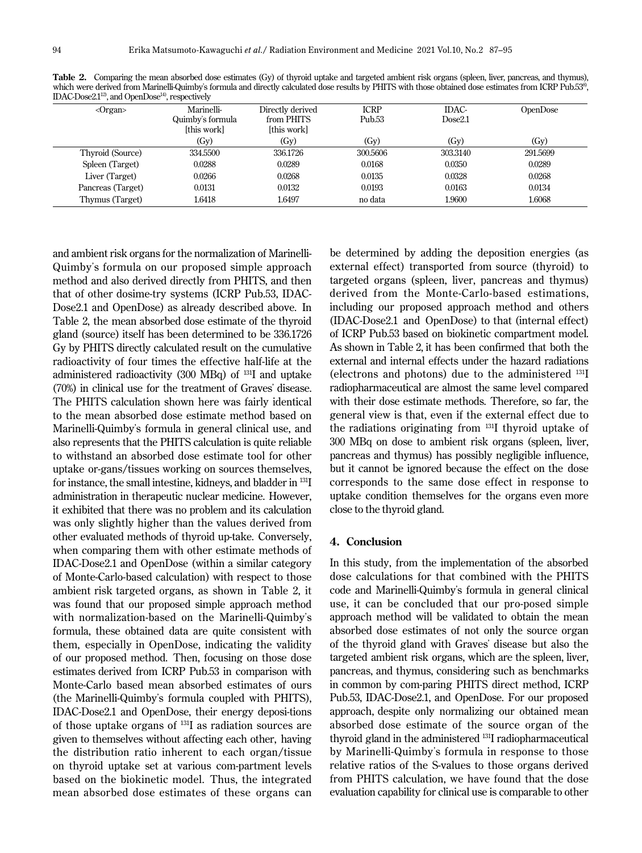| $\langle$ Organ $\rangle$ | Marinelli-<br>Quimby's formula<br>[this work] | Directly derived<br>from PHITS<br>[this work] | <b>ICRP</b><br>Pub.53 | IDAC-<br>Dose2.1 | OpenDose |
|---------------------------|-----------------------------------------------|-----------------------------------------------|-----------------------|------------------|----------|
|                           | (GV)                                          | (GV)                                          | (GV)                  | (Gy)             | (Gy)     |
| Thyroid (Source)          | 334.5500                                      | 336.1726                                      | 300.5606              | 303.3140         | 291.5699 |
| Spleen (Target)           | 0.0288                                        | 0.0289                                        | 0.0168                | 0.0350           | 0.0289   |
| Liver (Target)            | 0.0266                                        | 0.0268                                        | 0.0135                | 0.0328           | 0.0268   |
| Pancreas (Target)         | 0.0131                                        | 0.0132                                        | 0.0193                | 0.0163           | 0.0134   |
| Thymus (Target)           | 1.6418                                        | 1.6497                                        | no data               | 1.9600           | 1.6068   |

**Table 2.** Comparing the mean absorbed dose estimates (Gy) of thyroid uptake and targeted ambient risk organs (spleen, liver, pancreas, and thymus), which were derived from Marinelli-Quimby's formula and directly calculated dose results by PHITS with those obtained dose estimates from ICRP Pub.53<sup>8</sup>, IDAC-Dose2.112), and OpenDose14), respectively

and ambient risk organs for the normalization of Marinelli-Quimby's formula on our proposed simple approach method and also derived directly from PHITS, and then that of other dosime-try systems (ICRP Pub.53, IDAC-Dose2.1 and OpenDose) as already described above. In Table 2, the mean absorbed dose estimate of the thyroid gland (source) itself has been determined to be 336.1726 Gy by PHITS directly calculated result on the cumulative radioactivity of four times the effective half-life at the administered radioactivity (300 MBq) of 131I and uptake (70%) in clinical use for the treatment of Graves' disease. The PHITS calculation shown here was fairly identical to the mean absorbed dose estimate method based on Marinelli-Quimby's formula in general clinical use, and also represents that the PHITS calculation is quite reliable to withstand an absorbed dose estimate tool for other uptake or-gans/tissues working on sources themselves, for instance, the small intestine, kidneys, and bladder in 131I administration in therapeutic nuclear medicine. However, it exhibited that there was no problem and its calculation was only slightly higher than the values derived from other evaluated methods of thyroid up-take. Conversely, when comparing them with other estimate methods of IDAC-Dose2.1 and OpenDose (within a similar category of Monte-Carlo-based calculation) with respect to those ambient risk targeted organs, as shown in Table 2, it was found that our proposed simple approach method with normalization-based on the Marinelli-Quimby's formula, these obtained data are quite consistent with them, especially in OpenDose, indicating the validity of our proposed method. Then, focusing on those dose estimates derived from ICRP Pub.53 in comparison with Monte-Carlo based mean absorbed estimates of ours (the Marinelli-Quimby's formula coupled with PHITS), IDAC-Dose2.1 and OpenDose, their energy deposi-tions of those uptake organs of 131I as radiation sources are given to themselves without affecting each other, having the distribution ratio inherent to each organ/tissue on thyroid uptake set at various com-partment levels based on the biokinetic model. Thus, the integrated mean absorbed dose estimates of these organs can

be determined by adding the deposition energies (as external effect) transported from source (thyroid) to targeted organs (spleen, liver, pancreas and thymus) derived from the Monte-Carlo-based estimations, including our proposed approach method and others (IDAC-Dose2.1 and OpenDose) to that (internal effect) of ICRP Pub.53 based on biokinetic compartment model. As shown in Table 2, it has been confirmed that both the external and internal effects under the hazard radiations (electrons and photons) due to the administered 131I radiopharmaceutical are almost the same level compared with their dose estimate methods. Therefore, so far, the general view is that, even if the external effect due to the radiations originating from 131I thyroid uptake of 300 MBq on dose to ambient risk organs (spleen, liver, pancreas and thymus) has possibly negligible influence, but it cannot be ignored because the effect on the dose corresponds to the same dose effect in response to uptake condition themselves for the organs even more close to the thyroid gland.

## **4. Conclusion**

In this study, from the implementation of the absorbed dose calculations for that combined with the PHITS code and Marinelli-Quimby's formula in general clinical use, it can be concluded that our pro-posed simple approach method will be validated to obtain the mean absorbed dose estimates of not only the source organ of the thyroid gland with Graves' disease but also the targeted ambient risk organs, which are the spleen, liver, pancreas, and thymus, considering such as benchmarks in common by com-paring PHITS direct method, ICRP Pub.53, IDAC-Dose2.1, and OpenDose. For our proposed approach, despite only normalizing our obtained mean absorbed dose estimate of the source organ of the thyroid gland in the administered 131I radiopharmaceutical by Marinelli-Quimby's formula in response to those relative ratios of the S-values to those organs derived from PHITS calculation, we have found that the dose evaluation capability for clinical use is comparable to other